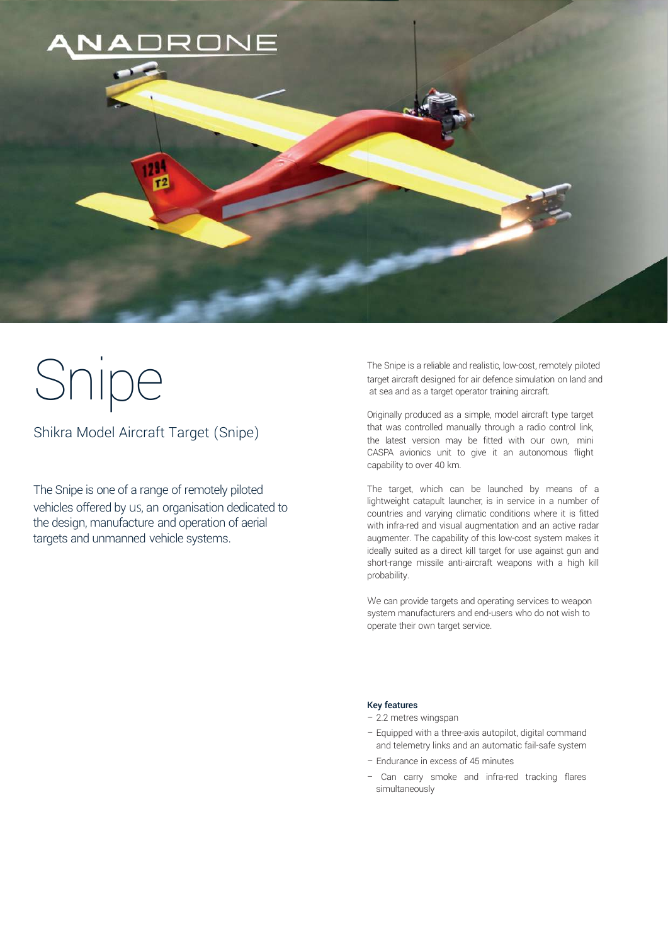

# Snipe

Shikra Model Aircraft Target (Snipe)

The Snipe is one of a range of remotely piloted vehicles offered by us, an organisation dedicated to the design, manufacture and operation of aerial targets and unmanned vehicle systems.

The Snipe is a reliable and realistic, low-cost, remotely piloted target aircraft designed for air defence simulation on land and at sea and as a target operator training aircraft.

Originally produced as a simple, model aircraft type target that was controlled manually through a radio control link, the latest version may be fitted with our own, mini CASPA avionics unit to give it an autonomous flight capability to over 40 km.

The target, which can be launched by means of a lightweight catapult launcher, is in service in a number of countries and varying climatic conditions where it is fitted with infra-red and visual augmentation and an active radar augmenter. The capability of this low-cost system makes it ideally suited as a direct kill target for use against gun and short-range missile anti-aircraft weapons with a high kill probability.

We can provide targets and operating services to weapon system manufacturers and end-users who do not wish to operate their own target service.

### Key features

- 2.2 metres wingspan
- Equipped with a three-axis autopilot, digital command and telemetry links and an automatic fail-safe system
- Endurance in excess of 45 minutes
- Can carry smoke and infra-red tracking flares simultaneously